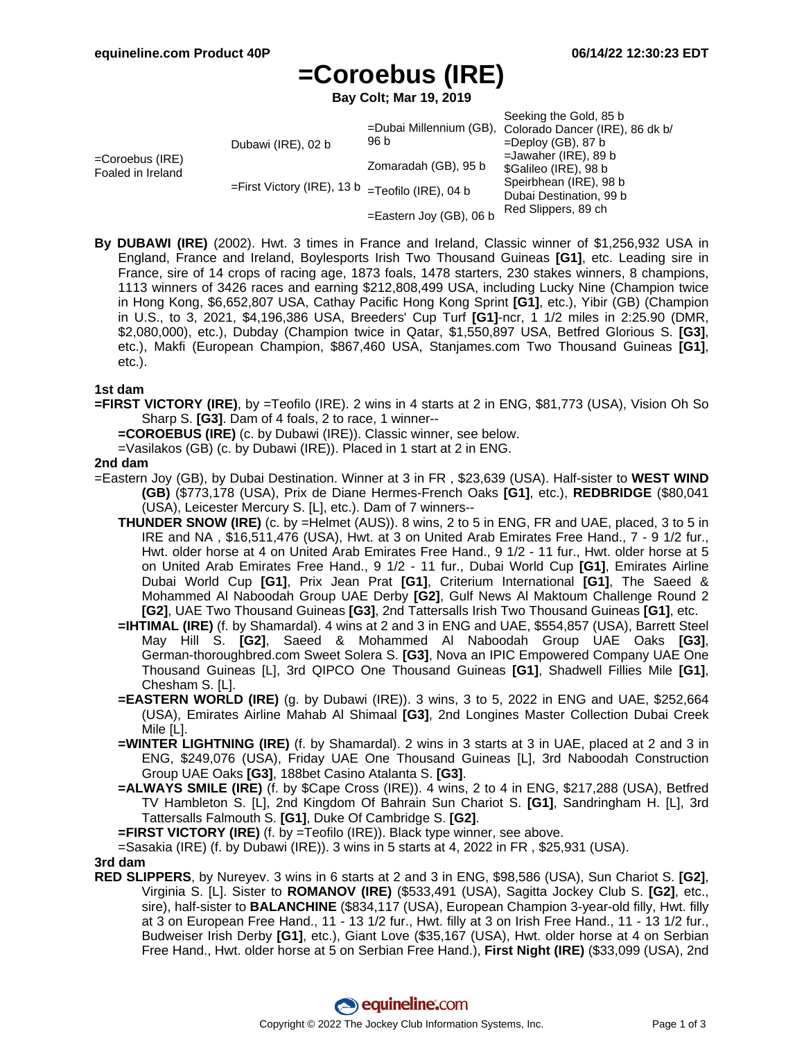# **=Coroebus (IRE)**

**Bay Colt; Mar 19, 2019**

|                                         |                                                                             |                            | Seeking the Gold, 85 b                                  |
|-----------------------------------------|-----------------------------------------------------------------------------|----------------------------|---------------------------------------------------------|
|                                         |                                                                             |                            | =Dubai Millennium (GB), Colorado Dancer (IRE), 86 dk b/ |
| $=$ Coroebus (IRE)<br>Foaled in Ireland | Dubawi (IRE), 02 b<br>$=$ First Victory (IRE), 13 b $=$ Teofilo (IRE), 04 b | 96 b                       | $=$ Deploy (GB), 87 b                                   |
|                                         |                                                                             |                            | $=$ Jawaher (IRE), 89 b                                 |
|                                         |                                                                             | Zomaradah (GB), 95 b       | \$Galileo (IRE), 98 b                                   |
|                                         |                                                                             |                            | Speirbhean (IRE), 98 b                                  |
|                                         |                                                                             |                            | Dubai Destination, 99 b                                 |
|                                         |                                                                             | $=$ Eastern Joy (GB), 06 b | Red Slippers, 89 ch                                     |

**By DUBAWI (IRE)** (2002). Hwt. 3 times in France and Ireland, Classic winner of \$1,256,932 USA in England, France and Ireland, Boylesports Irish Two Thousand Guineas **[G1]**, etc. Leading sire in France, sire of 14 crops of racing age, 1873 foals, 1478 starters, 230 stakes winners, 8 champions, 1113 winners of 3426 races and earning \$212,808,499 USA, including Lucky Nine (Champion twice in Hong Kong, \$6,652,807 USA, Cathay Pacific Hong Kong Sprint **[G1]**, etc.), Yibir (GB) (Champion in U.S., to 3, 2021, \$4,196,386 USA, Breeders' Cup Turf **[G1]**-ncr, 1 1/2 miles in 2:25.90 (DMR, \$2,080,000), etc.), Dubday (Champion twice in Qatar, \$1,550,897 USA, Betfred Glorious S. **[G3]**, etc.), Makfi (European Champion, \$867,460 USA, Stanjames.com Two Thousand Guineas **[G1]**, etc.).

### **1st dam**

**=FIRST VICTORY (IRE)**, by =Teofilo (IRE). 2 wins in 4 starts at 2 in ENG, \$81,773 (USA), Vision Oh So Sharp S. **[G3]**. Dam of 4 foals, 2 to race, 1 winner--

**=COROEBUS (IRE)** (c. by Dubawi (IRE)). Classic winner, see below.

=Vasilakos (GB) (c. by Dubawi (IRE)). Placed in 1 start at 2 in ENG.

#### **2nd dam**

- =Eastern Joy (GB), by Dubai Destination. Winner at 3 in FR , \$23,639 (USA). Half-sister to **WEST WIND (GB)** (\$773,178 (USA), Prix de Diane Hermes-French Oaks **[G1]**, etc.), **REDBRIDGE** (\$80,041 (USA), Leicester Mercury S. [L], etc.). Dam of 7 winners--
	- **THUNDER SNOW (IRE)** (c. by =Helmet (AUS)). 8 wins, 2 to 5 in ENG, FR and UAE, placed, 3 to 5 in IRE and NA , \$16,511,476 (USA), Hwt. at 3 on United Arab Emirates Free Hand., 7 - 9 1/2 fur., Hwt. older horse at 4 on United Arab Emirates Free Hand., 9 1/2 - 11 fur., Hwt. older horse at 5 on United Arab Emirates Free Hand., 9 1/2 - 11 fur., Dubai World Cup **[G1]**, Emirates Airline Dubai World Cup **[G1]**, Prix Jean Prat **[G1]**, Criterium International **[G1]**, The Saeed & Mohammed Al Naboodah Group UAE Derby **[G2]**, Gulf News Al Maktoum Challenge Round 2 **[G2]**, UAE Two Thousand Guineas **[G3]**, 2nd Tattersalls Irish Two Thousand Guineas **[G1]**, etc.
	- **=IHTIMAL (IRE)** (f. by Shamardal). 4 wins at 2 and 3 in ENG and UAE, \$554,857 (USA), Barrett Steel May Hill S. **[G2]**, Saeed & Mohammed Al Naboodah Group UAE Oaks **[G3]**, German-thoroughbred.com Sweet Solera S. **[G3]**, Nova an IPIC Empowered Company UAE One Thousand Guineas [L], 3rd QIPCO One Thousand Guineas **[G1]**, Shadwell Fillies Mile **[G1]**, Chesham S. [L].
	- **=EASTERN WORLD (IRE)** (g. by Dubawi (IRE)). 3 wins, 3 to 5, 2022 in ENG and UAE, \$252,664 (USA), Emirates Airline Mahab Al Shimaal **[G3]**, 2nd Longines Master Collection Dubai Creek Mile [L].
	- **=WINTER LIGHTNING (IRE)** (f. by Shamardal). 2 wins in 3 starts at 3 in UAE, placed at 2 and 3 in ENG, \$249,076 (USA), Friday UAE One Thousand Guineas [L], 3rd Naboodah Construction Group UAE Oaks **[G3]**, 188bet Casino Atalanta S. **[G3]**.
	- **=ALWAYS SMILE (IRE)** (f. by \$Cape Cross (IRE)). 4 wins, 2 to 4 in ENG, \$217,288 (USA), Betfred TV Hambleton S. [L], 2nd Kingdom Of Bahrain Sun Chariot S. **[G1]**, Sandringham H. [L], 3rd Tattersalls Falmouth S. **[G1]**, Duke Of Cambridge S. **[G2]**.
	- **=FIRST VICTORY (IRE)** (f. by =Teofilo (IRE)). Black type winner, see above.
	- =Sasakia (IRE) (f. by Dubawi (IRE)). 3 wins in 5 starts at 4, 2022 in FR , \$25,931 (USA).

**3rd dam**

**RED SLIPPERS**, by Nureyev. 3 wins in 6 starts at 2 and 3 in ENG, \$98,586 (USA), Sun Chariot S. **[G2]**, Virginia S. [L]. Sister to **ROMANOV (IRE)** (\$533,491 (USA), Sagitta Jockey Club S. **[G2]**, etc., sire), half-sister to **BALANCHINE** (\$834,117 (USA), European Champion 3-year-old filly, Hwt. filly at 3 on European Free Hand., 11 - 13 1/2 fur., Hwt. filly at 3 on Irish Free Hand., 11 - 13 1/2 fur., Budweiser Irish Derby **[G1]**, etc.), Giant Love (\$35,167 (USA), Hwt. older horse at 4 on Serbian Free Hand., Hwt. older horse at 5 on Serbian Free Hand.), **First Night (IRE)** (\$33,099 (USA), 2nd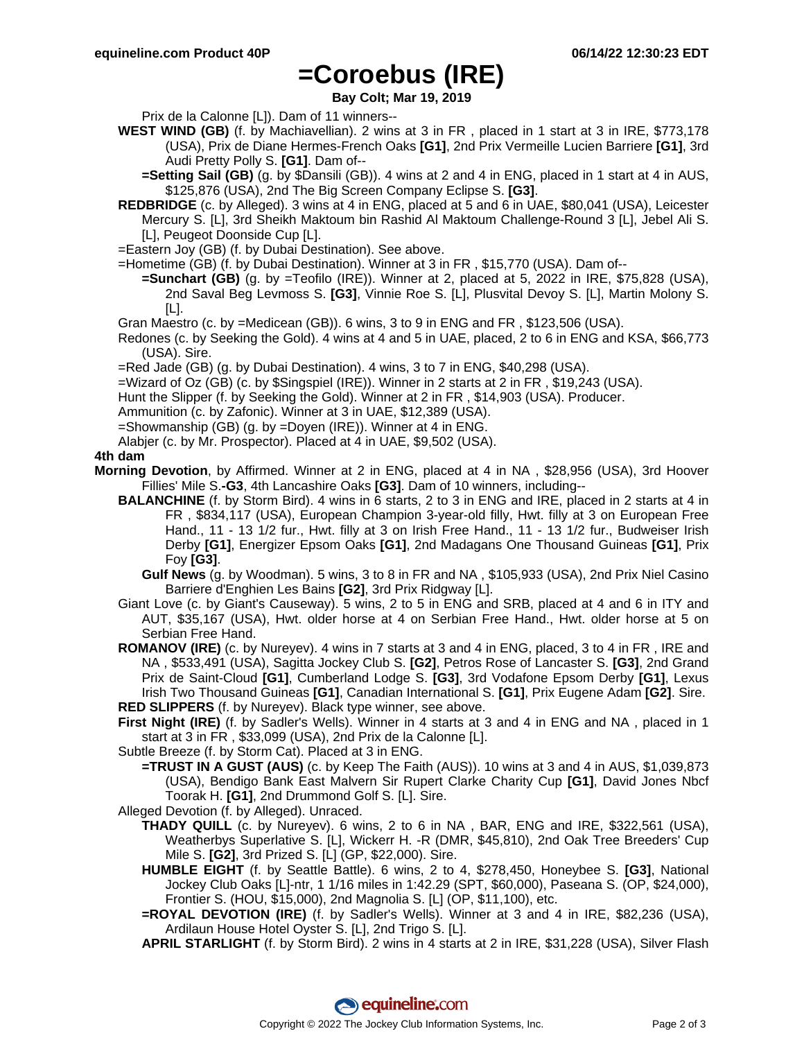### **=Coroebus (IRE)**

**Bay Colt; Mar 19, 2019**

Prix de la Calonne [L]). Dam of 11 winners--

**WEST WIND (GB)** (f. by Machiavellian). 2 wins at 3 in FR , placed in 1 start at 3 in IRE, \$773,178 (USA), Prix de Diane Hermes-French Oaks **[G1]**, 2nd Prix Vermeille Lucien Barriere **[G1]**, 3rd Audi Pretty Polly S. **[G1]**. Dam of--

**=Setting Sail (GB)** (g. by \$Dansili (GB)). 4 wins at 2 and 4 in ENG, placed in 1 start at 4 in AUS, \$125,876 (USA), 2nd The Big Screen Company Eclipse S. **[G3]**.

**REDBRIDGE** (c. by Alleged). 3 wins at 4 in ENG, placed at 5 and 6 in UAE, \$80,041 (USA), Leicester Mercury S. [L], 3rd Sheikh Maktoum bin Rashid Al Maktoum Challenge-Round 3 [L], Jebel Ali S. [L], Peugeot Doonside Cup [L].

=Eastern Joy (GB) (f. by Dubai Destination). See above.

=Hometime (GB) (f. by Dubai Destination). Winner at 3 in FR , \$15,770 (USA). Dam of--

**=Sunchart (GB)** (g. by =Teofilo (IRE)). Winner at 2, placed at 5, 2022 in IRE, \$75,828 (USA), 2nd Saval Beg Levmoss S. **[G3]**, Vinnie Roe S. [L], Plusvital Devoy S. [L], Martin Molony S. [L].

Gran Maestro (c. by =Medicean (GB)). 6 wins, 3 to 9 in ENG and FR , \$123,506 (USA).

Redones (c. by Seeking the Gold). 4 wins at 4 and 5 in UAE, placed, 2 to 6 in ENG and KSA, \$66,773 (USA). Sire.

=Red Jade (GB) (g. by Dubai Destination). 4 wins, 3 to 7 in ENG, \$40,298 (USA).

=Wizard of Oz (GB) (c. by \$Singspiel (IRE)). Winner in 2 starts at 2 in FR , \$19,243 (USA).

Hunt the Slipper (f. by Seeking the Gold). Winner at 2 in FR , \$14,903 (USA). Producer.

Ammunition (c. by Zafonic). Winner at 3 in UAE, \$12,389 (USA).

=Showmanship (GB) (g. by =Doyen (IRE)). Winner at 4 in ENG.

Alabjer (c. by Mr. Prospector). Placed at 4 in UAE, \$9,502 (USA).

### **4th dam**

- **Morning Devotion**, by Affirmed. Winner at 2 in ENG, placed at 4 in NA , \$28,956 (USA), 3rd Hoover Fillies' Mile S.**-G3**, 4th Lancashire Oaks **[G3]**. Dam of 10 winners, including--
	- **BALANCHINE** (f. by Storm Bird). 4 wins in 6 starts, 2 to 3 in ENG and IRE, placed in 2 starts at 4 in FR , \$834,117 (USA), European Champion 3-year-old filly, Hwt. filly at 3 on European Free Hand., 11 - 13 1/2 fur., Hwt. filly at 3 on Irish Free Hand., 11 - 13 1/2 fur., Budweiser Irish Derby **[G1]**, Energizer Epsom Oaks **[G1]**, 2nd Madagans One Thousand Guineas **[G1]**, Prix Foy **[G3]**.

**Gulf News** (g. by Woodman). 5 wins, 3 to 8 in FR and NA , \$105,933 (USA), 2nd Prix Niel Casino Barriere d'Enghien Les Bains **[G2]**, 3rd Prix Ridgway [L].

Giant Love (c. by Giant's Causeway). 5 wins, 2 to 5 in ENG and SRB, placed at 4 and 6 in ITY and AUT, \$35,167 (USA), Hwt. older horse at 4 on Serbian Free Hand., Hwt. older horse at 5 on Serbian Free Hand.

**ROMANOV (IRE)** (c. by Nureyev). 4 wins in 7 starts at 3 and 4 in ENG, placed, 3 to 4 in FR , IRE and NA , \$533,491 (USA), Sagitta Jockey Club S. **[G2]**, Petros Rose of Lancaster S. **[G3]**, 2nd Grand Prix de Saint-Cloud **[G1]**, Cumberland Lodge S. **[G3]**, 3rd Vodafone Epsom Derby **[G1]**, Lexus Irish Two Thousand Guineas **[G1]**, Canadian International S. **[G1]**, Prix Eugene Adam **[G2]**. Sire. **RED SLIPPERS** (f. by Nureyev). Black type winner, see above.

**First Night (IRE)** (f. by Sadler's Wells). Winner in 4 starts at 3 and 4 in ENG and NA , placed in 1 start at 3 in FR , \$33,099 (USA), 2nd Prix de la Calonne [L].

Subtle Breeze (f. by Storm Cat). Placed at 3 in ENG.

- **=TRUST IN A GUST (AUS)** (c. by Keep The Faith (AUS)). 10 wins at 3 and 4 in AUS, \$1,039,873 (USA), Bendigo Bank East Malvern Sir Rupert Clarke Charity Cup **[G1]**, David Jones Nbcf Toorak H. **[G1]**, 2nd Drummond Golf S. [L]. Sire.
- Alleged Devotion (f. by Alleged). Unraced.
	- **THADY QUILL** (c. by Nureyev). 6 wins, 2 to 6 in NA , BAR, ENG and IRE, \$322,561 (USA), Weatherbys Superlative S. [L], Wickerr H. -R (DMR, \$45,810), 2nd Oak Tree Breeders' Cup Mile S. **[G2]**, 3rd Prized S. [L] (GP, \$22,000). Sire.
	- **HUMBLE EIGHT** (f. by Seattle Battle). 6 wins, 2 to 4, \$278,450, Honeybee S. **[G3]**, National Jockey Club Oaks [L]-ntr, 1 1/16 miles in 1:42.29 (SPT, \$60,000), Paseana S. (OP, \$24,000), Frontier S. (HOU, \$15,000), 2nd Magnolia S. [L] (OP, \$11,100), etc.
	- **=ROYAL DEVOTION (IRE)** (f. by Sadler's Wells). Winner at 3 and 4 in IRE, \$82,236 (USA), Ardilaun House Hotel Oyster S. [L], 2nd Trigo S. [L].

**APRIL STARLIGHT** (f. by Storm Bird). 2 wins in 4 starts at 2 in IRE, \$31,228 (USA), Silver Flash